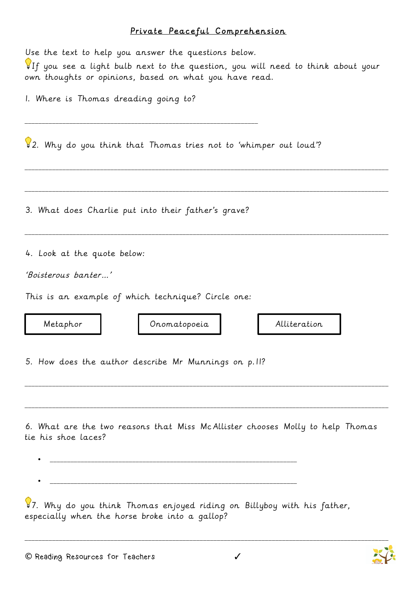## Private Peaceful Comprehension

| Use the text to help you answer the questions below.<br>If you see a light bulb next to the question, you will need to think about your<br>own thoughts or opinions, based on what you have read. |
|---------------------------------------------------------------------------------------------------------------------------------------------------------------------------------------------------|
| I. Where is Thomas dreading going to?                                                                                                                                                             |
| 82. Why do you think that Thomas tries not to 'whimper out loud'?                                                                                                                                 |
| 3. What does Charlie put into their father's grave?                                                                                                                                               |
| 4. Look at the quote below:                                                                                                                                                                       |
| 'Boisterous banter'                                                                                                                                                                               |
| This is an example of which technique? Circle one:                                                                                                                                                |
| Metaphor<br>Onomatopoeia<br>Alliteration                                                                                                                                                          |
| 5. How does the author describe Mr Munnings on p.11?                                                                                                                                              |
| 6. What are the two reasons that Miss McAllister chooses Molly to help Thomas<br>tie his shoe laces?                                                                                              |

7. Why do you think Thomas enjoyed riding on Billyboy with his father, especially when the horse broke into a gallop?

\_\_\_\_\_\_\_\_\_\_\_\_\_\_\_\_\_\_\_\_\_\_\_\_\_\_\_\_\_\_\_\_\_\_\_\_\_\_\_\_\_\_\_\_\_\_\_\_\_\_\_\_\_\_\_\_\_\_\_\_\_\_\_\_\_\_\_\_\_\_\_\_\_\_\_\_\_\_\_\_\_\_\_\_\_\_\_\_\_\_\_\_\_\_\_\_\_\_\_\_\_\_\_\_\_\_